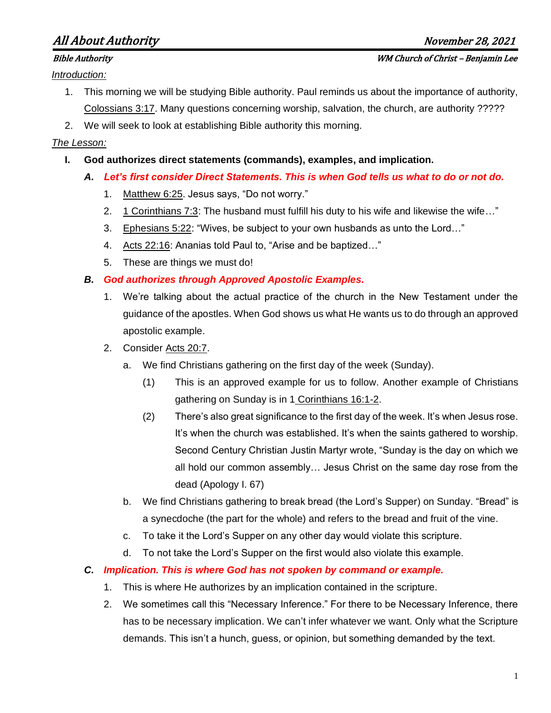# All About Authority November 28, 2021

*Introduction:*

- 1. This morning we will be studying Bible authority. Paul reminds us about the importance of authority, Colossians 3:17. Many questions concerning worship, salvation, the church, are authority ?????
- 2. We will seek to look at establishing Bible authority this morning.

## *The Lesson:*

- **I. God authorizes direct statements (commands), examples, and implication.**
	- *A. Let's first consider Direct Statements. This is when God tells us what to do or not do.* 
		- 1. Matthew 6:25. Jesus says, "Do not worry."
		- 2. 1 Corinthians 7:3: The husband must fulfill his duty to his wife and likewise the wife…"
		- 3. Ephesians 5:22: "Wives, be subject to your own husbands as unto the Lord…"
		- 4. Acts 22:16: Ananias told Paul to, "Arise and be baptized…"
		- 5. These are things we must do!

# *B. God authorizes through Approved Apostolic Examples.*

- 1. We're talking about the actual practice of the church in the New Testament under the guidance of the apostles. When God shows us what He wants us to do through an approved apostolic example.
- 2. Consider Acts 20:7.
	- a. We find Christians gathering on the first day of the week (Sunday).
		- (1) This is an approved example for us to follow. Another example of Christians gathering on Sunday is in 1 Corinthians 16:1-2.
		- (2) There's also great significance to the first day of the week. It's when Jesus rose. It's when the church was established. It's when the saints gathered to worship. Second Century Christian Justin Martyr wrote, "Sunday is the day on which we all hold our common assembly… Jesus Christ on the same day rose from the dead (Apology I. 67)
	- b. We find Christians gathering to break bread (the Lord's Supper) on Sunday. "Bread" is a synecdoche (the part for the whole) and refers to the bread and fruit of the vine.
	- c. To take it the Lord's Supper on any other day would violate this scripture.
	- d. To not take the Lord's Supper on the first would also violate this example.

# *C. Implication. This is where God has not spoken by command or example.*

- 1. This is where He authorizes by an implication contained in the scripture.
- 2. We sometimes call this "Necessary Inference." For there to be Necessary Inference, there has to be necessary implication. We can't infer whatever we want. Only what the Scripture demands. This isn't a hunch, guess, or opinion, but something demanded by the text.